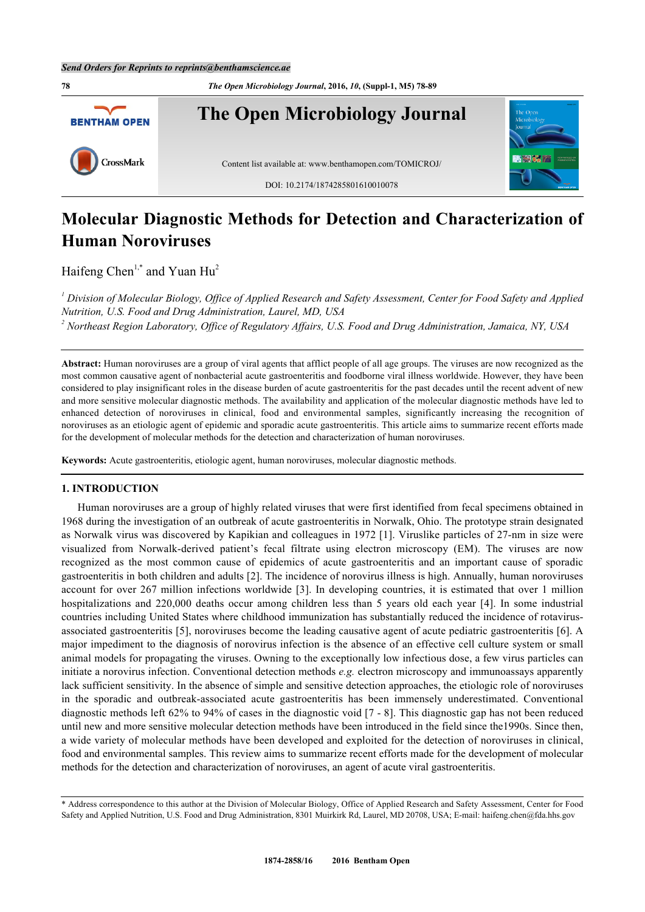**78** *The Open Microbiology Journal***, 2016,** *10***, (Suppl-1, M5) 78-89 The Open Microbiology Journal BENTHAM OPEN** CrossMark Content list available at: [www.benthamopen.com/TOMICROJ/](http://www.benthamopen.com/TOMICROJ/) DOI: [10.2174/1874285801610010078](http://dx.doi.org/10.2174/1874285801610010078)

# **Molecular Diagnostic Methods for Detection and Characterization of Human Noroviruses**

Haifeng Chen<sup>[1,](#page-0-0)[\\*](#page-0-1)</sup> and Yuan Hu<sup>[2](#page-0-2)</sup>

<span id="page-0-2"></span><span id="page-0-0"></span>*1 Division of Molecular Biology, Office of Applied Research and Safety Assessment, Center for Food Safety and Applied Nutrition, U.S. Food and Drug Administration, Laurel, MD, USA 2 Northeast Region Laboratory, Office of Regulatory Affairs, U.S. Food and Drug Administration, Jamaica, NY, USA*

**Abstract:** Human noroviruses are a group of viral agents that afflict people of all age groups. The viruses are now recognized as the most common causative agent of nonbacterial acute gastroenteritis and foodborne viral illness worldwide. However, they have been considered to play insignificant roles in the disease burden of acute gastroenteritis for the past decades until the recent advent of new and more sensitive molecular diagnostic methods. The availability and application of the molecular diagnostic methods have led to enhanced detection of noroviruses in clinical, food and environmental samples, significantly increasing the recognition of noroviruses as an etiologic agent of epidemic and sporadic acute gastroenteritis. This article aims to summarize recent efforts made for the development of molecular methods for the detection and characterization of human noroviruses.

**Keywords:** Acute gastroenteritis, etiologic agent, human noroviruses, molecular diagnostic methods.

#### **1. INTRODUCTION**

Human noroviruses are a group of highly related viruses that were first identified from fecal specimens obtained in 1968 during the investigation of an outbreak of acute gastroenteritis in Norwalk, Ohio. The prototype strain designated as Norwalk virus was discovered by Kapikian and colleagues in 1972 [[1\]](#page-6-0). Viruslike particles of 27-nm in size were visualized from Norwalk-derived patient's fecal filtrate using electron microscopy (EM). The viruses are now recognized as the most common cause of epidemics of acute gastroenteritis and an important cause of sporadic gastroenteritis in both children and adults [\[2](#page-6-1)]. The incidence of norovirus illness is high. Annually, human noroviruses account for over 267 million infections worldwide [[3\]](#page-6-2). In developing countries, it is estimated that over 1 million hospitalizationsand 220,000 deaths occur among children less than 5 years old each year [[4](#page-6-3)]. In some industrial countries including United States where childhood immunization has substantially reduced the incidence of rotavirusassociated gastroenteritis [[5\]](#page-6-4), noroviruses become the leading causative agent of acute pediatric gastroenteritis [\[6](#page-6-5)]. A major impediment to the diagnosis of norovirus infection is the absence of an effective cell culture system or small animal models for propagating the viruses. Owning to the exceptionally low infectious dose, a few virus particles can initiate a norovirus infection. Conventional detection methods *e.g.* electron microscopy and immunoassays apparently lack sufficient sensitivity. In the absence of simple and sensitive detection approaches, the etiologic role of noroviruses in the sporadic and outbreak-associated acute gastroenteritis has been immensely underestimated. Conventional diagnostic methods left 62% to 94% of cases in the diagnostic void [\[7](#page-6-6) - [8\]](#page-6-7). This diagnostic gap has not been reduced until new and more sensitive molecular detection methods have been introduced in the field since the1990s. Since then, a wide variety of molecular methods have been developed and exploited for the detection of noroviruses in clinical, food and environmental samples. This review aims to summarize recent efforts made for the development of molecular methods for the detection and characterization of noroviruses, an agent of acute viral gastroenteritis.

<span id="page-0-1"></span><sup>\*</sup> Address correspondence to this author at the Division of Molecular Biology, Office of Applied Research and Safety Assessment, Center for Food Safety and Applied Nutrition, U.S. Food and Drug Administration, 8301 Muirkirk Rd, Laurel, MD 20708, USA; E-mail: [haifeng.chen@fda.hhs.gov](mailto:haifeng.chen@fda.hhs.gov)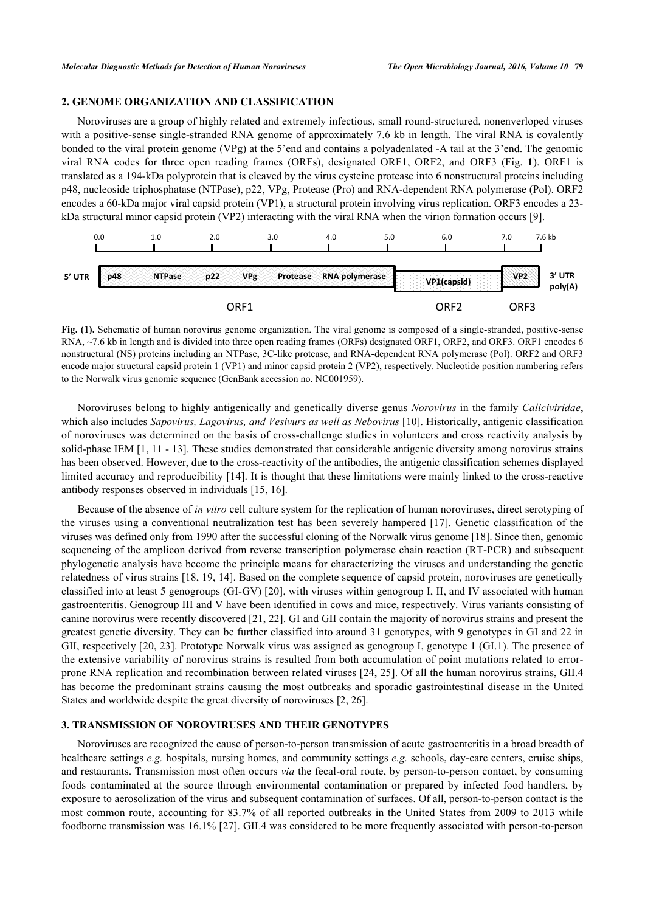# **2. GENOME ORGANIZATION AND CLASSIFICATION**

Noroviruses are a group of highly related and extremely infectious, small round-structured, nonenverloped viruses with a positive-sense single-stranded RNA genome of approximately 7.6 kb in length. The viral RNA is covalently bonded to the viral protein genome (VPg) at the 5'end and contains a polyadenlated -A tail at the 3'end. The genomic viral RNA codes for three open reading frames (ORFs), designated ORF1, ORF2, and ORF3 (Fig.**1**). ORF1 is translated as a 194-kDa polyprotein that is cleaved by the virus cysteine protease into 6 nonstructural proteins including p48, nucleoside triphosphatase (NTPase), p22, VPg, Protease (Pro) and RNA-dependent RNA polymerase (Pol). ORF2 encodes a 60-kDa major viral capsid protein (VP1), a structural protein involving virus replication. ORF3 encodes a 23 kDa structural minor capsid protein (VP2) interacting with the viral RNA when the virion formation occurs [\[9](#page-6-8)].

<span id="page-1-0"></span>

**Fig. (1).** Schematic of human norovirus genome organization. The viral genome is composed of a single-stranded, positive-sense RNA, ~7.6 kb in length and is divided into three open reading frames (ORFs) designated ORF1, ORF2, and ORF3. ORF1 encodes 6 nonstructural (NS) proteins including an NTPase, 3C-like protease, and RNA-dependent RNA polymerase (Pol). ORF2 and ORF3 encode major structural capsid protein 1 (VP1) and minor capsid protein 2 (VP2), respectively. Nucleotide position numbering refers to the Norwalk virus genomic sequence (GenBank accession no. NC001959).

Noroviruses belong to highly antigenically and genetically diverse genus *Norovirus* in the family *Caliciviridae*, which also includes *Sapovirus, Lagovirus, and Vesivurs as well as Nebovirus* [[10\]](#page-6-9). Historically, antigenic classification of noroviruses was determined on the basis of cross-challenge studies in volunteers and cross reactivity analysis by solid-phase IEM [[1,](#page-6-0) [11](#page-6-10) - [13\]](#page-6-11). These studies demonstrated that considerable antigenic diversity among norovirus strains has been observed. However, due to the cross-reactivity of the antibodies, the antigenic classification schemes displayed limited accuracy and reproducibility [\[14\]](#page-6-12). It is thought that these limitations were mainly linked to the cross-reactive antibody responses observed in individuals [[15,](#page-6-13) [16\]](#page-6-14).

Because of the absence of *in vitro* cell culture system for the replication of human noroviruses, direct serotyping of the viruses using a conventional neutralization test has been severely hampered [\[17\]](#page-7-0). Genetic classification of the viruses was defined only from 1990 after the successful cloning of the Norwalk virus genome [[18\]](#page-7-1). Since then, genomic sequencing of the amplicon derived from reverse transcription polymerase chain reaction (RT-PCR) and subsequent phylogenetic analysis have become the principle means for characterizing the viruses and understanding the genetic relatedness of virus strains [\[18](#page-7-1), [19,](#page-7-2) [14\]](#page-6-12). Based on the complete sequence of capsid protein, noroviruses are genetically classified into at least 5 genogroups (GI-GV) [[20\]](#page-7-3), with viruses within genogroup I, II, and IV associated with human gastroenteritis. Genogroup III and V have been identified in cows and mice, respectively. Virus variants consisting of canine norovirus were recently discovered [[21,](#page-7-4) [22](#page-7-5)]. GI and GII contain the majority of norovirus strains and present the greatest genetic diversity. They can be further classified into around 31 genotypes, with 9 genotypes in GI and 22 in GII, respectively [[20](#page-7-3), [23\]](#page-7-6). Prototype Norwalk virus was assigned as genogroup I, genotype 1 (GI.1). The presence of the extensive variability of norovirus strains is resulted from both accumulation of point mutations related to errorprone RNA replication and recombination between related viruses [[24,](#page-7-7) [25](#page-7-8)]. Of all the human norovirus strains, GII.4 has become the predominant strains causing the most outbreaks and sporadic gastrointestinal disease in the United States and worldwide despite the great diversity of noroviruses [\[2](#page-6-1), [26](#page-7-9)].

# **3. TRANSMISSION OF NOROVIRUSES AND THEIR GENOTYPES**

Noroviruses are recognized the cause of person-to-person transmission of acute gastroenteritis in a broad breadth of healthcare settings *e.g.* hospitals, nursing homes, and community settings *e.g.* schools, day-care centers, cruise ships, and restaurants. Transmission most often occurs *via* the fecal-oral route, by person-to-person contact, by consuming foods contaminated at the source through environmental contamination or prepared by infected food handlers, by exposure to aerosolization of the virus and subsequent contamination of surfaces. Of all, person-to-person contact is the most common route, accounting for 83.7% of all reported outbreaks in the United States from 2009 to 2013 while foodborne transmission was 16.1% [[27\]](#page-7-10). GII.4 was considered to be more frequently associated with person-to-person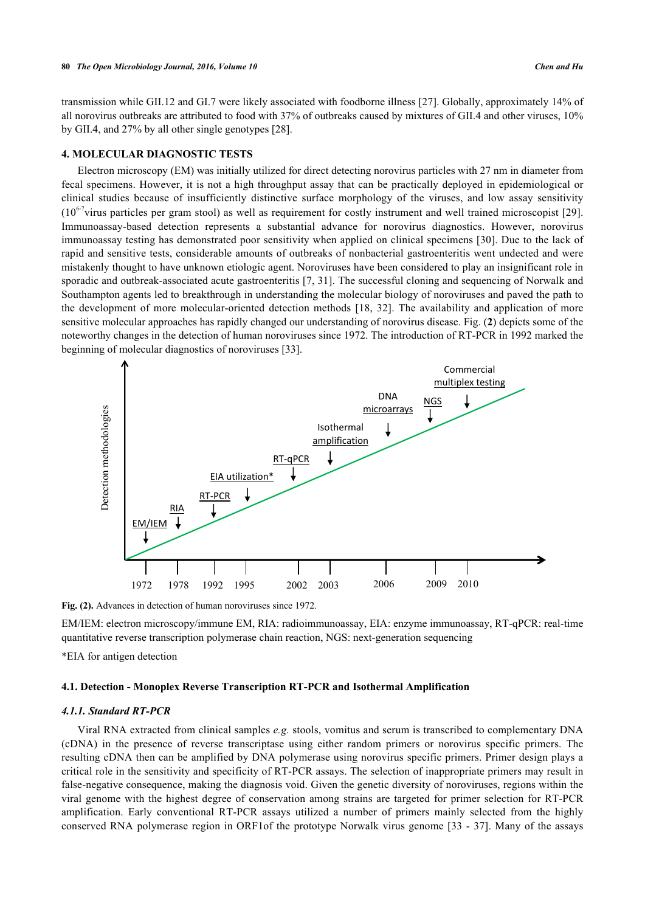transmission while GII.12 and GI.7 were likely associated with foodborne illness [[27\]](#page-7-10). Globally, approximately 14% of all norovirus outbreaks are attributed to food with 37% of outbreaks caused by mixtures of GII.4 and other viruses, 10% by GII.4, and 27% by all other single genotypes [\[28](#page-7-11)].

## **4. MOLECULAR DIAGNOSTIC TESTS**

Electron microscopy (EM) was initially utilized for direct detecting norovirus particles with 27 nm in diameter from fecal specimens. However, it is not a high throughput assay that can be practically deployed in epidemiological or clinical studies because of insufficiently distinctive surface morphology of the viruses, and low assay sensitivity  $(10^{6-7}$ virus particles per gram stool) as well as requirement for costly instrument and well trained microscopist [\[29\]](#page-7-12). Immunoassay-based detection represents a substantial advance for norovirus diagnostics. However, norovirus immunoassay testing has demonstrated poor sensitivity when applied on clinical specimens [\[30\]](#page-7-13). Due to the lack of rapid and sensitive tests, considerable amounts of outbreaks of nonbacterial gastroenteritis went undected and were mistakenly thought to have unknown etiologic agent. Noroviruses have been considered to play an insignificant role in sporadic and outbreak-associated acute gastroenteritis [[7,](#page-6-6) [31](#page-7-14)]. The successful cloning and sequencing of Norwalk and Southampton agents led to breakthrough in understanding the molecular biology of noroviruses and paved the path to the development of more molecular-oriented detection methods [\[18,](#page-7-1) [32](#page-7-15)]. The availability and application of more sensitive molecular approaches has rapidly changed our understanding of norovirus disease. Fig. (**[2](#page-2-0)**) depicts some of the noteworthy changes in the detection of human noroviruses since 1972. The introduction of RT-PCR in 1992 marked the beginning of molecular diagnostics of noroviruses [\[33](#page-7-16)].

<span id="page-2-0"></span>

**Fig. (2).** Advances in detection of human noroviruses since 1972.

EM/IEM: electron microscopy/immune EM, RIA: radioimmunoassay, EIA: enzyme immunoassay, RT-qPCR: real-time quantitative reverse transcription polymerase chain reaction, NGS: next-generation sequencing

\*EIA for antigen detection

## **4.1. Detection - Monoplex Reverse Transcription RT-PCR and Isothermal Amplification**

# *4.1.1. Standard RT-PCR*

Viral RNA extracted from clinical samples *e.g.* stools, vomitus and serum is transcribed to complementary DNA (cDNA) in the presence of reverse transcriptase using either random primers or norovirus specific primers. The resulting cDNA then can be amplified by DNA polymerase using norovirus specific primers. Primer design plays a critical role in the sensitivity and specificity of RT-PCR assays. The selection of inappropriate primers may result in false-negative consequence, making the diagnosis void. Given the genetic diversity of noroviruses, regions within the viral genome with the highest degree of conservation among strains are targeted for primer selection for RT-PCR amplification. Early conventional RT-PCR assays utilized a number of primers mainly selected from the highly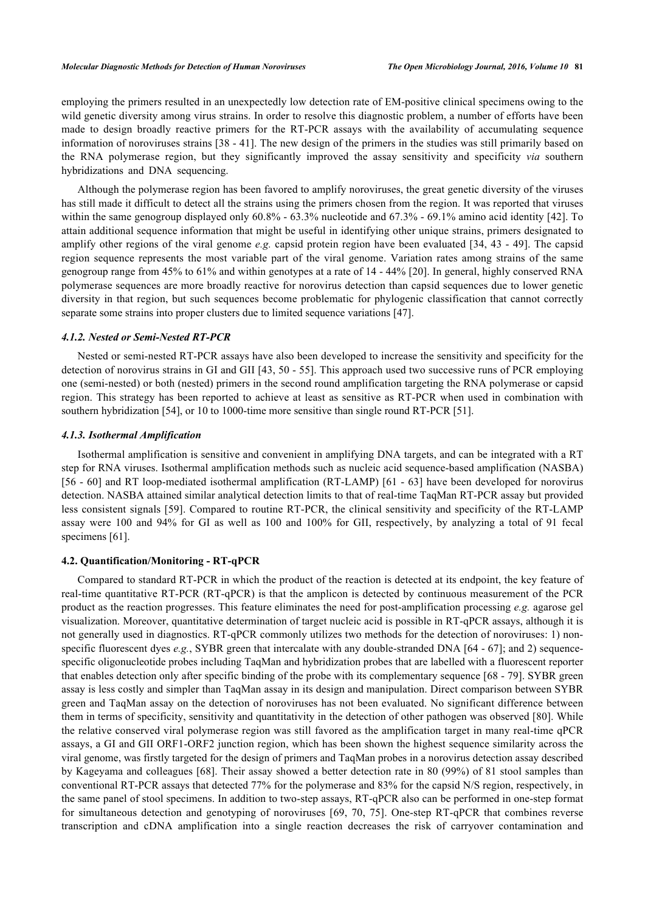employing the primers resulted in an unexpectedly low detection rate of EM-positive clinical specimens owing to the wild genetic diversity among virus strains. In order to resolve this diagnostic problem, a number of efforts have been made to design broadly reactive primers for the RT-PCR assays with the availability of accumulating sequence information of noroviruses strains [[38](#page-8-1) - [41](#page-8-2)]. The new design of the primers in the studies was still primarily based on the RNA polymerase region, but they significantly improved the assay sensitivity and specificity *via* southern hybridizations and DNA sequencing.

Although the polymerase region has been favored to amplify noroviruses, the great genetic diversity of the viruses has still made it difficult to detect all the strains using the primers chosen from the region. It was reported that viruses within the same genogroup displayed only 60.8% - 63.3% nucleotide and 67.3% - 69.1% amino acid identity [[42\]](#page-8-3). To attain additional sequence information that might be useful in identifying other unique strains, primers designated to amplify other regions of the viral genome *e.g.* capsid protein region have been evaluated [[34](#page-7-17), [43](#page-8-4) - [49\]](#page-8-5). The capsid region sequence represents the most variable part of the viral genome. Variation rates among strains of the same genogroup range from 45% to 61% and within genotypes at a rate of 14 - 44% [[20\]](#page-7-3). In general, highly conserved RNA polymerase sequences are more broadly reactive for norovirus detection than capsid sequences due to lower genetic diversity in that region, but such sequences become problematic for phylogenic classification that cannot correctly separate some strains into proper clusters due to limited sequence variations [\[47](#page-8-6)].

#### *4.1.2. Nested or Semi-Nested RT-PCR*

Nested or semi-nested RT-PCR assays have also been developed to increase the sensitivity and specificity for the detection of norovirus strains in GI and GII [[43](#page-8-4)[, 50](#page-8-7) - [55](#page-8-8)]. This approach used two successive runs of PCR employing one (semi-nested) or both (nested) primers in the second round amplification targeting the RNA polymerase or capsid region. This strategy has been reported to achieve at least as sensitive as RT-PCR when used in combination with southern hybridization [[54\]](#page-8-9), or 10 to 1000-time more sensitive than single round RT-PCR [[51\]](#page-8-10).

#### *4.1.3. Isothermal Amplification*

Isothermal amplification is sensitive and convenient in amplifying DNA targets, and can be integrated with a RT step for RNA viruses. Isothermal amplification methods such as nucleic acid sequence-based amplification (NASBA) [\[56](#page-8-11) - [60\]](#page-9-0) and RT loop-mediated isothermal amplification (RT-LAMP) [[61](#page-9-1) - [63](#page-9-2)] have been developed for norovirus detection. NASBA attained similar analytical detection limits to that of real-time TaqMan RT-PCR assay but provided less consistent signals [\[59\]](#page-9-3). Compared to routine RT-PCR, the clinical sensitivity and specificity of the RT-LAMP assay were 100 and 94% for GI as well as 100 and 100% for GII, respectively, by analyzing a total of 91 fecal specimens [\[61](#page-9-1)].

#### **4.2. Quantification/Monitoring - RT-qPCR**

Compared to standard RT-PCR in which the product of the reaction is detected at its endpoint, the key feature of real-time quantitative RT-PCR (RT-qPCR) is that the amplicon is detected by continuous measurement of the PCR product as the reaction progresses. This feature eliminates the need for post-amplification processing *e.g.* agarose gel visualization. Moreover, quantitative determination of target nucleic acid is possible in RT-qPCR assays, although it is not generally used in diagnostics. RT-qPCR commonly utilizes two methods for the detection of noroviruses: 1) nonspecific fluorescent dyes *e.g.*, SYBR green that intercalate with any double-stranded DNA [[64](#page-9-4) - [67\]](#page-9-5); and 2) sequencespecific oligonucleotide probes including TaqMan and hybridization probes that are labelled with a fluorescent reporter that enables detection only after specific binding of the probe with its complementary sequence [[68](#page-9-6) - [79\]](#page-10-0). SYBR green assay is less costly and simpler than TaqMan assay in its design and manipulation. Direct comparison between SYBR green and TaqMan assay on the detection of noroviruses has not been evaluated. No significant difference between them in terms of specificity, sensitivity and quantitativity in the detection of other pathogen was observed [[80](#page-10-1)]. While the relative conserved viral polymerase region was still favored as the amplification target in many real-time qPCR assays, a GI and GII ORF1-ORF2 junction region, which has been shown the highest sequence similarity across the viral genome, was firstly targeted for the design of primers and TaqMan probes in a norovirus detection assay described by Kageyama and colleagues [[68\]](#page-9-6). Their assay showed a better detection rate in 80 (99%) of 81 stool samples than conventional RT-PCR assays that detected 77% for the polymerase and 83% for the capsid N/S region, respectively, in the same panel of stool specimens. In addition to two-step assays, RT-qPCR also can be performed in one-step format for simultaneous detection and genotyping of noroviruses[[69](#page-9-7), [70,](#page-9-8) [75](#page-9-9)]. One-step RT-qPCR that combines reverse transcription and cDNA amplification into a single reaction decreases the risk of carryover contamination and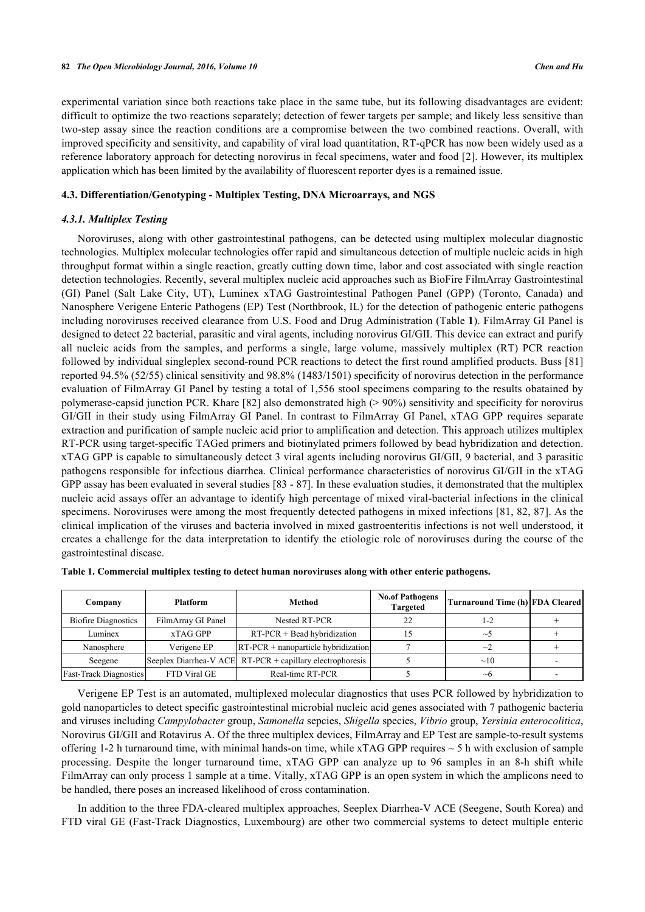experimental variation since both reactions take place in the same tube, but its following disadvantages are evident: difficult to optimize the two reactions separately; detection of fewer targets per sample; and likely less sensitive than two-step assay since the reaction conditions are a compromise between the two combined reactions. Overall, with improved specificity and sensitivity, and capability of viral load quantitation, RT-qPCR has now been widely used as a reference laboratory approach for detecting norovirus in fecal specimens, water and food [[2](#page-6-1)]. However, its multiplex application which has been limited by the availability of fluorescent reporter dyes is a remained issue.

# **4.3. Differentiation/Genotyping - Multiplex Testing, DNA Microarrays, and NGS**

# *4.3.1. Multiplex Testing*

Noroviruses, along with other gastrointestinal pathogens, can be detected using multiplex molecular diagnostic technologies. Multiplex molecular technologies offer rapid and simultaneous detection of multiple nucleic acids in high throughput format within a single reaction, greatly cutting down time, labor and cost associated with single reaction detection technologies. Recently, several multiplex nucleic acid approaches such as BioFire FilmArray Gastrointestinal (GI) Panel (Salt Lake City, UT), Luminex xTAG Gastrointestinal Pathogen Panel (GPP) (Toronto, Canada) and Nanosphere Verigene Enteric Pathogens (EP) Test (Northbrook, IL) for the detection of pathogenic enteric pathogens including noroviruses received clearance from U.S. Food and Drug Administration (Table **[1](#page-4-0)**). FilmArray GI Panel is designed to detect 22 bacterial, parasitic and viral agents, including norovirus GI/GII. This device can extract and purify all nucleic acids from the samples, and performs a single, large volume, massively multiplex (RT) PCR reaction followed by individual singleplex second-round PCR reactions to detect the first round amplified products. Buss [[81](#page-10-2)] reported 94.5% (52/55) clinical sensitivity and 98.8% (1483/1501) specificity of norovirus detection in the performance evaluation of FilmArray GI Panel by testing a total of 1,556 stool specimens comparing to the results obatained by polymerase-capsid junction PCR. Khare [\[82](#page-10-3)] also demonstrated high (> 90%) sensitivity and specificity for norovirus GI/GII in their study using FilmArray GI Panel. In contrast to FilmArray GI Panel, xTAG GPP requires separate extraction and purification of sample nucleic acid prior to amplification and detection. This approach utilizes multiplex RT-PCR using target-specific TAGed primers and biotinylated primers followed by bead hybridization and detection. xTAG GPP is capable to simultaneously detect 3 viral agents including norovirus GI/GII, 9 bacterial, and 3 parasitic pathogens responsible for infectious diarrhea. Clinical performance characteristics of norovirus GI/GII in the xTAG GPP assay has been evaluated in several studies [\[83](#page-10-4) - [87\]](#page-10-5). In these evaluation studies, it demonstrated that the multiplex nucleic acid assays offer an advantage to identify high percentage of mixed viral-bacterial infections in the clinical specimens. Noroviruses were among the most frequently detected pathogens in mixed infections [\[81,](#page-10-2) [82](#page-10-3), [87](#page-10-5)]. As the clinical implication of the viruses and bacteria involved in mixed gastroenteritis infections is not well understood, it creates a challenge for the data interpretation to identify the etiologic role of noroviruses during the course of the gastrointestinal disease.

| Company                       | <b>Platform</b>    | Method                                                      | Turnaround Time (h) FDA Cleared |           |  |
|-------------------------------|--------------------|-------------------------------------------------------------|---------------------------------|-----------|--|
| <b>Biofire Diagnostics</b>    | FilmArray GI Panel | Nested RT-PCR                                               | 22                              | 1-2       |  |
| Luminex                       | xTAG GPP           | $RT-PCR + Bead hybridization$                               |                                 | $\sim$    |  |
| Nanosphere                    | Verigene EP        | $RT-PCR + nanoparticle hybridization$                       |                                 | $\sim$    |  |
| Seegene                       |                    | Seeplex Diarrhea-V ACE   RT-PCR + capillary electrophoresis |                                 | $\sim$ 10 |  |
| <b>Fast-Track Diagnostics</b> | FTD Viral GE       | Real-time RT-PCR                                            |                                 | $\sim$ h  |  |

<span id="page-4-0"></span>

|  |  |  | Table 1. Commercial multiplex testing to detect human noroviruses along with other enteric pathogens. |
|--|--|--|-------------------------------------------------------------------------------------------------------|
|  |  |  |                                                                                                       |

Verigene EP Test is an automated, multiplexed molecular diagnostics that uses PCR followed by hybridization to gold nanoparticles to detect specific gastrointestinal microbial nucleic acid genes associated with 7 pathogenic bacteria and viruses including *Campylobacter* group, *Samonella* sepcies, *Shigella* species, *Vibrio* group, *Yersinia enterocolitica*, Norovirus GI/GII and Rotavirus A. Of the three multiplex devices, FilmArray and EP Test are sample-to-result systems offering 1-2 h turnaround time, with minimal hands-on time, while  $xTAG GPP$  requires  $\sim$  5 h with exclusion of sample processing. Despite the longer turnaround time, xTAG GPP can analyze up to 96 samples in an 8-h shift while FilmArray can only process 1 sample at a time. Vitally, xTAG GPP is an open system in which the amplicons need to be handled, there poses an increased likelihood of cross contamination.

In addition to the three FDA-cleared multiplex approaches, Seeplex Diarrhea-V ACE (Seegene, South Korea) and FTD viral GE (Fast-Track Diagnostics, Luxembourg) are other two commercial systems to detect multiple enteric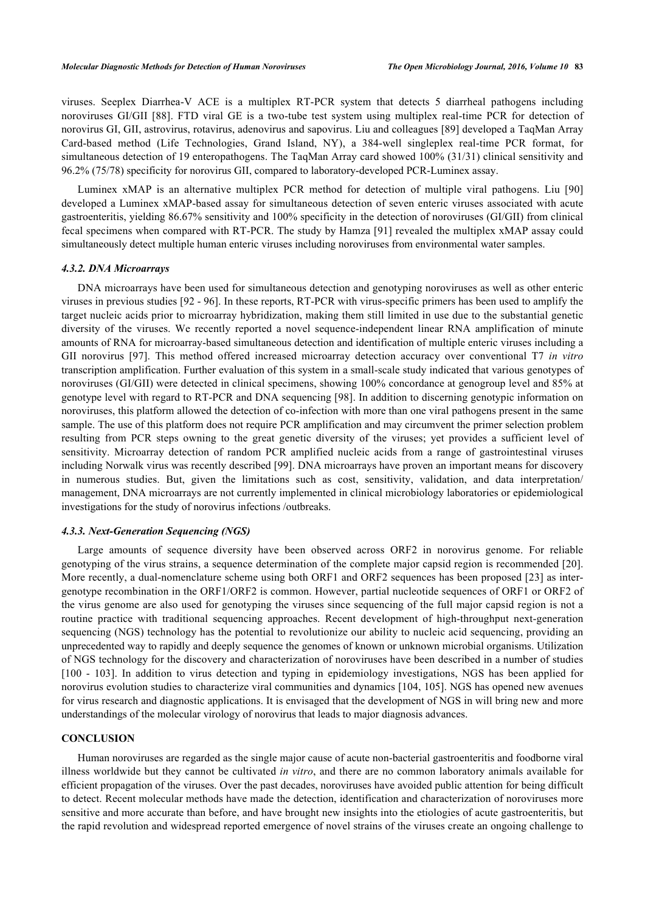viruses. Seeplex Diarrhea-V ACE is a multiplex RT-PCR system that detects 5 diarrheal pathogens including noroviruses GI/GII[[88](#page-10-6)]. FTD viral GE is a two-tube test system using multiplex real-time PCR for detection of norovirus GI, GII, astrovirus, rotavirus, adenovirus and sapovirus. Liu and colleagues [[89\]](#page-10-7) developed a TaqMan Array Card-based method (Life Technologies, Grand Island, NY), a 384-well singleplex real-time PCR format, for simultaneous detection of 19 enteropathogens. The TaqMan Array card showed 100% (31/31) clinical sensitivity and 96.2% (75/78) specificity for norovirus GII, compared to laboratory-developed PCR-Luminex assay.

Luminex xMAP is an alternative multiplex PCR method for detection of multiple viral pathogens. Liu[[90](#page-10-8)] developed a Luminex xMAP-based assay for simultaneous detection of seven enteric viruses associated with acute gastroenteritis, yielding 86.67% sensitivity and 100% specificity in the detection of noroviruses (GI/GII) from clinical fecal specimens when compared with RT-PCR. The study by Hamza [[91\]](#page-10-9) revealed the multiplex xMAP assay could simultaneously detect multiple human enteric viruses including noroviruses from environmental water samples.

#### *4.3.2. DNA Microarrays*

DNA microarrays have been used for simultaneous detection and genotyping noroviruses as well as other enteric viruses in previous studies [[92](#page-10-10) - [96](#page-11-0)]. In these reports, RT-PCR with virus-specific primers has been used to amplify the target nucleic acids prior to microarray hybridization, making them still limited in use due to the substantial genetic diversity of the viruses. We recently reported a novel sequence-independent linear RNA amplification of minute amounts of RNA for microarray-based simultaneous detection and identification of multiple enteric viruses including a GII norovirus[[97\]](#page-11-1). This method offered increased microarray detection accuracy over conventional T7 *in vitro* transcription amplification. Further evaluation of this system in a small-scale study indicated that various genotypes of noroviruses (GI/GII) were detected in clinical specimens, showing 100% concordance at genogroup level and 85% at genotype level with regard to RT-PCR and DNA sequencing [\[98](#page-11-2)]. In addition to discerning genotypic information on noroviruses, this platform allowed the detection of co-infection with more than one viral pathogens present in the same sample. The use of this platform does not require PCR amplification and may circumvent the primer selection problem resulting from PCR steps owning to the great genetic diversity of the viruses; yet provides a sufficient level of sensitivity. Microarray detection of random PCR amplified nucleic acids from a range of gastrointestinal viruses including Norwalk virus was recently described [\[99](#page-11-3)]. DNA microarrays have proven an important means for discovery in numerous studies. But, given the limitations such as cost, sensitivity, validation, and data interpretation/ management, DNA microarrays are not currently implemented in clinical microbiology laboratories or epidemiological investigations for the study of norovirus infections /outbreaks.

#### *4.3.3. Next-Generation Sequencing (NGS)*

Large amounts of sequence diversity have been observed across ORF2 in norovirus genome. For reliable genotyping of the virus strains, a sequence determination of the complete major capsid region is recommended [\[20\]](#page-7-3). More recently, a dual-nomenclature scheme using both ORF1 and ORF2 sequences has been proposed [\[23](#page-7-6)] as intergenotype recombination in the ORF1/ORF2 is common. However, partial nucleotide sequences of ORF1 or ORF2 of the virus genome are also used for genotyping the viruses since sequencing of the full major capsid region is not a routine practice with traditional sequencing approaches. Recent development of high-throughput next-generation sequencing (NGS) technology has the potential to revolutionize our ability to nucleic acid sequencing, providing an unprecedented way to rapidly and deeply sequence the genomes of known or unknown microbial organisms. Utilization of NGS technology for the discovery and characterization of noroviruses have been described in a number of studies [\[100](#page-11-4) - [103](#page-11-5)]. In addition to virus detection and typing in epidemiology investigations, NGS has been applied for norovirus evolution studies to characterize viral communities and dynamics [\[104](#page-11-6), [105\]](#page-11-7). NGS has opened new avenues for virus research and diagnostic applications. It is envisaged that the development of NGS in will bring new and more understandings of the molecular virology of norovirus that leads to major diagnosis advances.

#### **CONCLUSION**

Human noroviruses are regarded as the single major cause of acute non-bacterial gastroenteritis and foodborne viral illness worldwide but they cannot be cultivated *in vitro*, and there are no common laboratory animals available for efficient propagation of the viruses. Over the past decades, noroviruses have avoided public attention for being difficult to detect. Recent molecular methods have made the detection, identification and characterization of noroviruses more sensitive and more accurate than before, and have brought new insights into the etiologies of acute gastroenteritis, but the rapid revolution and widespread reported emergence of novel strains of the viruses create an ongoing challenge to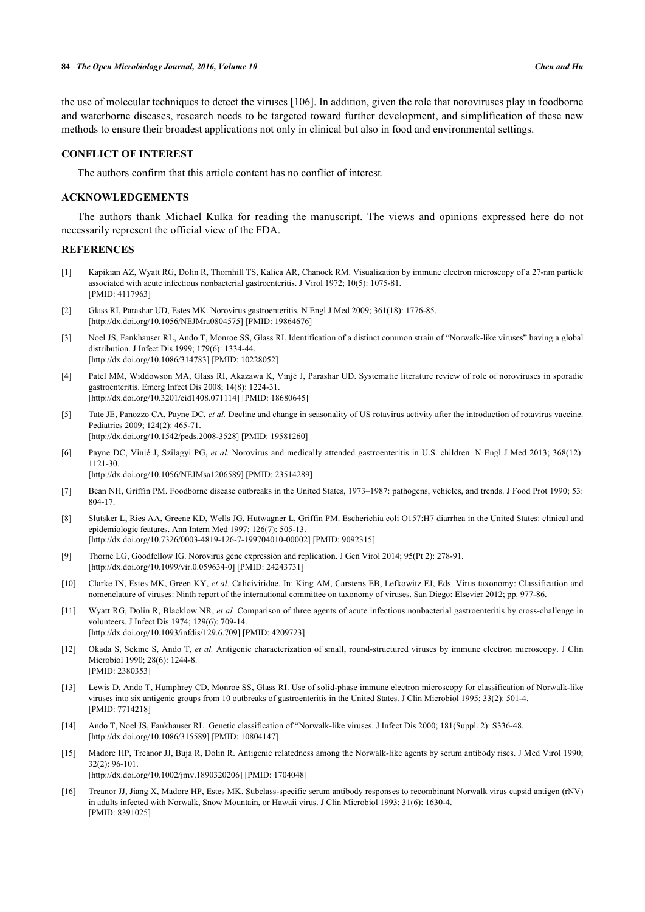the use of molecular techniques to detect the viruses [\[106](#page-11-8)]. In addition, given the role that noroviruses play in foodborne and waterborne diseases, research needs to be targeted toward further development, and simplification of these new methods to ensure their broadest applications not only in clinical but also in food and environmental settings.

#### **CONFLICT OF INTEREST**

The authors confirm that this article content has no conflict of interest.

# **ACKNOWLEDGEMENTS**

The authors thank Michael Kulka for reading the manuscript. The views and opinions expressed here do not necessarily represent the official view of the FDA.

## **REFERENCES**

- <span id="page-6-0"></span>[1] Kapikian AZ, Wyatt RG, Dolin R, Thornhill TS, Kalica AR, Chanock RM. Visualization by immune electron microscopy of a 27-nm particle associated with acute infectious nonbacterial gastroenteritis. J Virol 1972; 10(5): 1075-81. [PMID: [4117963\]](http://www.ncbi.nlm.nih.gov/pubmed/4117963)
- <span id="page-6-1"></span>[2] Glass RI, Parashar UD, Estes MK. Norovirus gastroenteritis. N Engl J Med 2009; 361(18): 1776-85. [\[http://dx.doi.org/10.1056/NEJMra0804575\]](http://dx.doi.org/10.1056/NEJMra0804575) [PMID: [19864676](http://www.ncbi.nlm.nih.gov/pubmed/19864676)]
- <span id="page-6-2"></span>[3] Noel JS, Fankhauser RL, Ando T, Monroe SS, Glass RI. Identification of a distinct common strain of "Norwalk-like viruses" having a global distribution. J Infect Dis 1999; 179(6): 1334-44. [\[http://dx.doi.org/10.1086/314783\]](http://dx.doi.org/10.1086/314783) [PMID: [10228052](http://www.ncbi.nlm.nih.gov/pubmed/10228052)]
- <span id="page-6-3"></span>[4] Patel MM, Widdowson MA, Glass RI, Akazawa K, Vinjé J, Parashar UD. Systematic literature review of role of noroviruses in sporadic gastroenteritis. Emerg Infect Dis 2008; 14(8): 1224-31. [\[http://dx.doi.org/10.3201/eid1408.071114\]](http://dx.doi.org/10.3201/eid1408.071114) [PMID: [18680645](http://www.ncbi.nlm.nih.gov/pubmed/18680645)]
- <span id="page-6-4"></span>[5] Tate JE, Panozzo CA, Payne DC, *et al.* Decline and change in seasonality of US rotavirus activity after the introduction of rotavirus vaccine. Pediatrics 2009; 124(2): 465-71. [\[http://dx.doi.org/10.1542/peds.2008-3528](http://dx.doi.org/10.1542/peds.2008-3528)] [PMID: [19581260\]](http://www.ncbi.nlm.nih.gov/pubmed/19581260)
- 
- <span id="page-6-5"></span>[6] Payne DC, Vinjé J, Szilagyi PG, *et al.* Norovirus and medically attended gastroenteritis in U.S. children. N Engl J Med 2013; 368(12): 1121-30.

[\[http://dx.doi.org/10.1056/NEJMsa1206589](http://dx.doi.org/10.1056/NEJMsa1206589)] [PMID: [23514289\]](http://www.ncbi.nlm.nih.gov/pubmed/23514289)

- <span id="page-6-6"></span>[7] Bean NH, Griffin PM. Foodborne disease outbreaks in the United States, 1973–1987: pathogens, vehicles, and trends. J Food Prot 1990; 53: 804-17.
- <span id="page-6-7"></span>[8] Slutsker L, Ries AA, Greene KD, Wells JG, Hutwagner L, Griffin PM. Escherichia coli O157:H7 diarrhea in the United States: clinical and epidemiologic features. Ann Intern Med 1997; 126(7): 505-13. [\[http://dx.doi.org/10.7326/0003-4819-126-7-199704010-00002](http://dx.doi.org/10.7326/0003-4819-126-7-199704010-00002)] [PMID: [9092315\]](http://www.ncbi.nlm.nih.gov/pubmed/9092315)
- <span id="page-6-8"></span>[9] Thorne LG, Goodfellow IG. Norovirus gene expression and replication. J Gen Virol 2014; 95(Pt 2): 278-91. [\[http://dx.doi.org/10.1099/vir.0.059634-0](http://dx.doi.org/10.1099/vir.0.059634-0)] [PMID: [24243731\]](http://www.ncbi.nlm.nih.gov/pubmed/24243731)
- <span id="page-6-9"></span>[10] Clarke IN, Estes MK, Green KY, *et al.* Caliciviridae. In: King AM, Carstens EB, Lefkowitz EJ, Eds. Virus taxonomy: Classification and nomenclature of viruses: Ninth report of the international committee on taxonomy of viruses. San Diego: Elsevier 2012; pp. 977-86.
- <span id="page-6-10"></span>[11] Wyatt RG, Dolin R, Blacklow NR, *et al.* Comparison of three agents of acute infectious nonbacterial gastroenteritis by cross-challenge in volunteers. J Infect Dis 1974; 129(6): 709-14. [\[http://dx.doi.org/10.1093/infdis/129.6.709](http://dx.doi.org/10.1093/infdis/129.6.709)] [PMID: [4209723\]](http://www.ncbi.nlm.nih.gov/pubmed/4209723)
- [12] Okada S, Sekine S, Ando T, *et al.* Antigenic characterization of small, round-structured viruses by immune electron microscopy. J Clin Microbiol 1990; 28(6): 1244-8. [PMID: [2380353\]](http://www.ncbi.nlm.nih.gov/pubmed/2380353)
- <span id="page-6-11"></span>[13] Lewis D, Ando T, Humphrey CD, Monroe SS, Glass RI. Use of solid-phase immune electron microscopy for classification of Norwalk-like viruses into six antigenic groups from 10 outbreaks of gastroenteritis in the United States. J Clin Microbiol 1995; 33(2): 501-4. [PMID: [7714218\]](http://www.ncbi.nlm.nih.gov/pubmed/7714218)
- <span id="page-6-12"></span>[14] Ando T, Noel JS, Fankhauser RL. Genetic classification of "Norwalk-like viruses. J Infect Dis 2000; 181(Suppl. 2): S336-48. [\[http://dx.doi.org/10.1086/315589\]](http://dx.doi.org/10.1086/315589) [PMID: [10804147](http://www.ncbi.nlm.nih.gov/pubmed/10804147)]
- <span id="page-6-13"></span>[15] Madore HP, Treanor JJ, Buja R, Dolin R. Antigenic relatedness among the Norwalk-like agents by serum antibody rises. J Med Virol 1990; 32(2): 96-101. [\[http://dx.doi.org/10.1002/jmv.1890320206](http://dx.doi.org/10.1002/jmv.1890320206)] [PMID: [1704048\]](http://www.ncbi.nlm.nih.gov/pubmed/1704048)
- <span id="page-6-14"></span>[16] Treanor JJ, Jiang X, Madore HP, Estes MK. Subclass-specific serum antibody responses to recombinant Norwalk virus capsid antigen (rNV) in adults infected with Norwalk, Snow Mountain, or Hawaii virus. J Clin Microbiol 1993; 31(6): 1630-4. [PMID: [8391025\]](http://www.ncbi.nlm.nih.gov/pubmed/8391025)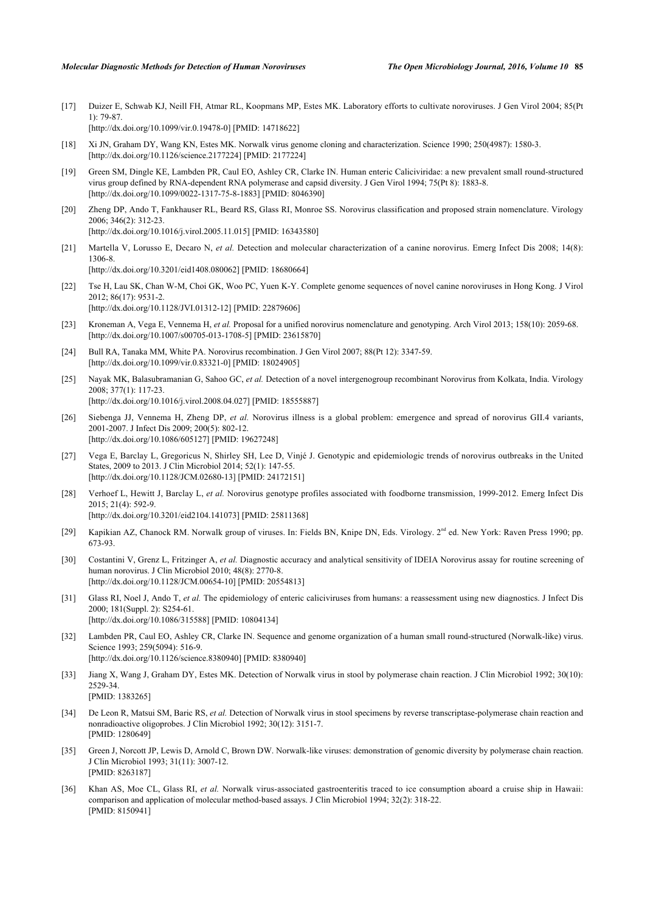- <span id="page-7-0"></span>[17] Duizer E, Schwab KJ, Neill FH, Atmar RL, Koopmans MP, Estes MK. Laboratory efforts to cultivate noroviruses. J Gen Virol 2004; 85(Pt  $1)$  79-87 [\[http://dx.doi.org/10.1099/vir.0.19478-0](http://dx.doi.org/10.1099/vir.0.19478-0)] [PMID: [14718622\]](http://www.ncbi.nlm.nih.gov/pubmed/14718622)
- <span id="page-7-1"></span>[18] Xi JN, Graham DY, Wang KN, Estes MK. Norwalk virus genome cloning and characterization. Science 1990; 250(4987): 1580-3. [\[http://dx.doi.org/10.1126/science.2177224](http://dx.doi.org/10.1126/science.2177224)] [PMID: [2177224\]](http://www.ncbi.nlm.nih.gov/pubmed/2177224)
- <span id="page-7-2"></span>[19] Green SM, Dingle KE, Lambden PR, Caul EO, Ashley CR, Clarke IN. Human enteric Caliciviridae: a new prevalent small round-structured virus group defined by RNA-dependent RNA polymerase and capsid diversity. J Gen Virol 1994; 75(Pt 8): 1883-8. [\[http://dx.doi.org/10.1099/0022-1317-75-8-1883](http://dx.doi.org/10.1099/0022-1317-75-8-1883)] [PMID: [8046390](http://www.ncbi.nlm.nih.gov/pubmed/8046390)]
- <span id="page-7-3"></span>[20] Zheng DP, Ando T, Fankhauser RL, Beard RS, Glass RI, Monroe SS. Norovirus classification and proposed strain nomenclature. Virology 2006; 346(2): 312-23.

[\[http://dx.doi.org/10.1016/j.virol.2005.11.015](http://dx.doi.org/10.1016/j.virol.2005.11.015)] [PMID: [16343580\]](http://www.ncbi.nlm.nih.gov/pubmed/16343580)

<span id="page-7-4"></span>[21] Martella V, Lorusso E, Decaro N, et al. Detection and molecular characterization of a canine norovirus. Emerg Infect Dis 2008; 14(8): 1306-8.

[\[http://dx.doi.org/10.3201/eid1408.080062\]](http://dx.doi.org/10.3201/eid1408.080062) [PMID: [18680664](http://www.ncbi.nlm.nih.gov/pubmed/18680664)]

- <span id="page-7-5"></span>[22] Tse H, Lau SK, Chan W-M, Choi GK, Woo PC, Yuen K-Y. Complete genome sequences of novel canine noroviruses in Hong Kong. J Virol 2012; 86(17): 9531-2. [\[http://dx.doi.org/10.1128/JVI.01312-12](http://dx.doi.org/10.1128/JVI.01312-12)] [PMID: [22879606\]](http://www.ncbi.nlm.nih.gov/pubmed/22879606)
- <span id="page-7-6"></span>[23] Kroneman A, Vega E, Vennema H, *et al.* Proposal for a unified norovirus nomenclature and genotyping. Arch Virol 2013; 158(10): 2059-68. [\[http://dx.doi.org/10.1007/s00705-013-1708-5\]](http://dx.doi.org/10.1007/s00705-013-1708-5) [PMID: [23615870](http://www.ncbi.nlm.nih.gov/pubmed/23615870)]
- <span id="page-7-7"></span>[24] Bull RA, Tanaka MM, White PA. Norovirus recombination. J Gen Virol 2007; 88(Pt 12): 3347-59. [\[http://dx.doi.org/10.1099/vir.0.83321-0](http://dx.doi.org/10.1099/vir.0.83321-0)] [PMID: [18024905\]](http://www.ncbi.nlm.nih.gov/pubmed/18024905)
- <span id="page-7-8"></span>[25] Nayak MK, Balasubramanian G, Sahoo GC, *et al.* Detection of a novel intergenogroup recombinant Norovirus from Kolkata, India. Virology 2008; 377(1): 117-23. [\[http://dx.doi.org/10.1016/j.virol.2008.04.027](http://dx.doi.org/10.1016/j.virol.2008.04.027)] [PMID: [18555887\]](http://www.ncbi.nlm.nih.gov/pubmed/18555887)
- <span id="page-7-9"></span>[26] Siebenga JJ, Vennema H, Zheng DP, *et al.* Norovirus illness is a global problem: emergence and spread of norovirus GII.4 variants, 2001-2007. J Infect Dis 2009; 200(5): 802-12. [\[http://dx.doi.org/10.1086/605127\]](http://dx.doi.org/10.1086/605127) [PMID: [19627248](http://www.ncbi.nlm.nih.gov/pubmed/19627248)]
- <span id="page-7-10"></span>[27] Vega E, Barclay L, Gregoricus N, Shirley SH, Lee D, Vinjé J. Genotypic and epidemiologic trends of norovirus outbreaks in the United States, 2009 to 2013. J Clin Microbiol 2014; 52(1): 147-55. [\[http://dx.doi.org/10.1128/JCM.02680-13](http://dx.doi.org/10.1128/JCM.02680-13)] [PMID: [24172151\]](http://www.ncbi.nlm.nih.gov/pubmed/24172151)
- <span id="page-7-11"></span>[28] Verhoef L, Hewitt J, Barclay L, *et al.* Norovirus genotype profiles associated with foodborne transmission, 1999-2012. Emerg Infect Dis 2015; 21(4): 592-9. [\[http://dx.doi.org/10.3201/eid2104.141073\]](http://dx.doi.org/10.3201/eid2104.141073) [PMID: [25811368](http://www.ncbi.nlm.nih.gov/pubmed/25811368)]
- <span id="page-7-12"></span>[29] Kapikian AZ, Chanock RM. Norwalk group of viruses. In: Fields BN, Knipe DN, Eds. Virology, 2<sup>nd</sup> ed. New York: Raven Press 1990; pp. 673-93.
- <span id="page-7-13"></span>[30] Costantini V, Grenz L, Fritzinger A, et al. Diagnostic accuracy and analytical sensitivity of IDEIA Norovirus assay for routine screening of human norovirus. J Clin Microbiol 2010; 48(8): 2770-8. [\[http://dx.doi.org/10.1128/JCM.00654-10](http://dx.doi.org/10.1128/JCM.00654-10)] [PMID: [20554813\]](http://www.ncbi.nlm.nih.gov/pubmed/20554813)
- <span id="page-7-14"></span>[31] Glass RI, Noel J, Ando T, *et al.* The epidemiology of enteric caliciviruses from humans: a reassessment using new diagnostics. J Infect Dis 2000; 181(Suppl. 2): S254-61. [\[http://dx.doi.org/10.1086/315588\]](http://dx.doi.org/10.1086/315588) [PMID: [10804134](http://www.ncbi.nlm.nih.gov/pubmed/10804134)]
- <span id="page-7-15"></span>[32] Lambden PR, Caul EO, Ashley CR, Clarke IN. Sequence and genome organization of a human small round-structured (Norwalk-like) virus. Science 1993; 259(5094): 516-9. [\[http://dx.doi.org/10.1126/science.8380940](http://dx.doi.org/10.1126/science.8380940)] [PMID: [8380940\]](http://www.ncbi.nlm.nih.gov/pubmed/8380940)
- <span id="page-7-16"></span>[33] Jiang X, Wang J, Graham DY, Estes MK. Detection of Norwalk virus in stool by polymerase chain reaction. J Clin Microbiol 1992; 30(10): 2529-34.
	- [PMID: [1383265\]](http://www.ncbi.nlm.nih.gov/pubmed/1383265)
- <span id="page-7-17"></span>[34] De Leon R, Matsui SM, Baric RS, *et al.* Detection of Norwalk virus in stool specimens by reverse transcriptase-polymerase chain reaction and nonradioactive oligoprobes. J Clin Microbiol 1992; 30(12): 3151-7. [PMID: [1280649\]](http://www.ncbi.nlm.nih.gov/pubmed/1280649)
- [35] Green J, Norcott JP, Lewis D, Arnold C, Brown DW. Norwalk-like viruses: demonstration of genomic diversity by polymerase chain reaction. J Clin Microbiol 1993; 31(11): 3007-12. [PMID: [8263187\]](http://www.ncbi.nlm.nih.gov/pubmed/8263187)
- [36] Khan AS, Moe CL, Glass RI, *et al.* Norwalk virus-associated gastroenteritis traced to ice consumption aboard a cruise ship in Hawaii: comparison and application of molecular method-based assays. J Clin Microbiol 1994; 32(2): 318-22. [PMID: [8150941\]](http://www.ncbi.nlm.nih.gov/pubmed/8150941)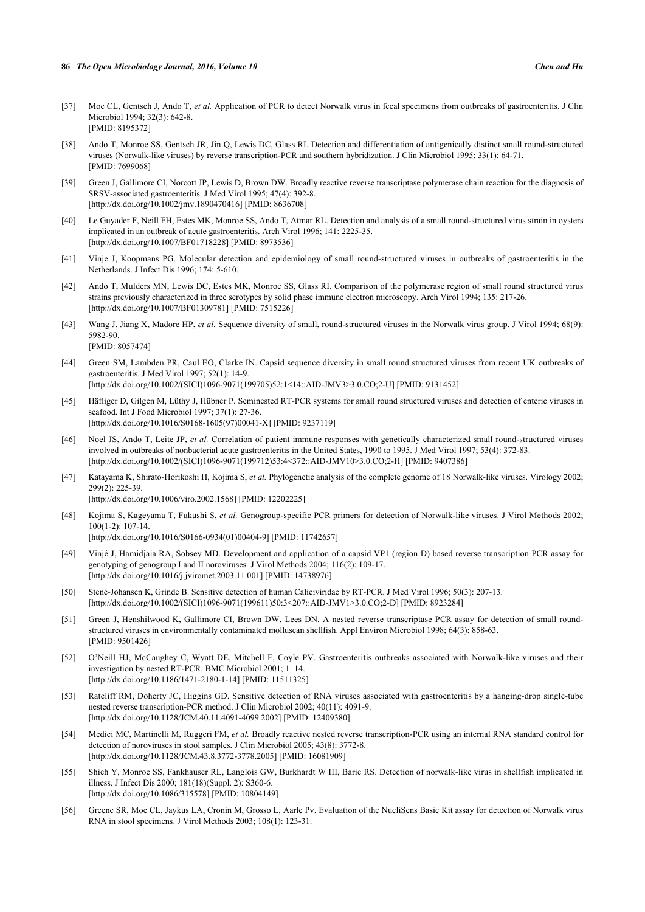- <span id="page-8-0"></span>[37] Moe CL, Gentsch J, Ando T, *et al.* Application of PCR to detect Norwalk virus in fecal specimens from outbreaks of gastroenteritis. J Clin Microbiol 1994; 32(3): 642-8. [PMID: [8195372\]](http://www.ncbi.nlm.nih.gov/pubmed/8195372)
- <span id="page-8-1"></span>[38] Ando T, Monroe SS, Gentsch JR, Jin Q, Lewis DC, Glass RI. Detection and differentiation of antigenically distinct small round-structured viruses (Norwalk-like viruses) by reverse transcription-PCR and southern hybridization. J Clin Microbiol 1995; 33(1): 64-71. [PMID: [7699068\]](http://www.ncbi.nlm.nih.gov/pubmed/7699068)
- [39] Green J, Gallimore CI, Norcott JP, Lewis D, Brown DW. Broadly reactive reverse transcriptase polymerase chain reaction for the diagnosis of SRSV-associated gastroenteritis. J Med Virol 1995; 47(4): 392-8. [\[http://dx.doi.org/10.1002/jmv.1890470416](http://dx.doi.org/10.1002/jmv.1890470416)] [PMID: [8636708\]](http://www.ncbi.nlm.nih.gov/pubmed/8636708)
- [40] Le Guyader F, Neill FH, Estes MK, Monroe SS, Ando T, Atmar RL. Detection and analysis of a small round-structured virus strain in oysters implicated in an outbreak of acute gastroenteritis. Arch Virol 1996; 141: 2225-35. [\[http://dx.doi.org/10.1007/BF01718228\]](http://dx.doi.org/10.1007/BF01718228) [PMID: [8973536](http://www.ncbi.nlm.nih.gov/pubmed/8973536)]
- <span id="page-8-2"></span>[41] Vinje J, Koopmans PG. Molecular detection and epidemiology of small round-structured viruses in outbreaks of gastroenteritis in the Netherlands. J Infect Dis 1996; 174: 5-610.
- <span id="page-8-3"></span>[42] Ando T, Mulders MN, Lewis DC, Estes MK, Monroe SS, Glass RI. Comparison of the polymerase region of small round structured virus strains previously characterized in three serotypes by solid phase immune electron microscopy. Arch Virol 1994; 135: 217-26. [\[http://dx.doi.org/10.1007/BF01309781\]](http://dx.doi.org/10.1007/BF01309781) [PMID: [7515226](http://www.ncbi.nlm.nih.gov/pubmed/7515226)]
- <span id="page-8-4"></span>[43] Wang J, Jiang X, Madore HP, *et al.* Sequence diversity of small, round-structured viruses in the Norwalk virus group. J Virol 1994; 68(9): 5982-90. [PMID: [8057474\]](http://www.ncbi.nlm.nih.gov/pubmed/8057474)
- [44] Green SM, Lambden PR, Caul EO, Clarke IN. Capsid sequence diversity in small round structured viruses from recent UK outbreaks of gastroenteritis. J Med Virol 1997; 52(1): 14-9. [\[http://dx.doi.org/10.1002/\(SICI\)1096-9071\(199705\)52:1<14::AID-JMV3>3.0.CO;2-U\]](http://dx.doi.org/10.1002/(SICI)1096-9071(199705)52:1<14::AID-JMV3>3.0.CO;2-U) [PMID: [9131452](http://www.ncbi.nlm.nih.gov/pubmed/9131452)]
- [45] Häfliger D, Gilgen M, Lüthy J, Hübner P. Seminested RT-PCR systems for small round structured viruses and detection of enteric viruses in seafood. Int J Food Microbiol 1997; 37(1): 27-36. [\[http://dx.doi.org/10.1016/S0168-1605\(97\)00041-X\]](http://dx.doi.org/10.1016/S0168-1605(97)00041-X) [PMID: [9237119](http://www.ncbi.nlm.nih.gov/pubmed/9237119)]
- [46] Noel JS, Ando T, Leite JP, *et al.* Correlation of patient immune responses with genetically characterized small round-structured viruses involved in outbreaks of nonbacterial acute gastroenteritis in the United States, 1990 to 1995. J Med Virol 1997; 53(4): 372-83. [\[http://dx.doi.org/10.1002/\(SICI\)1096-9071\(199712\)53:4<372::AID-JMV10>3.0.CO;2-H\]](http://dx.doi.org/10.1002/(SICI)1096-9071(199712)53:4<372::AID-JMV10>3.0.CO;2-H) [PMID: [9407386](http://www.ncbi.nlm.nih.gov/pubmed/9407386)]
- <span id="page-8-6"></span>[47] Katayama K, Shirato-Horikoshi H, Kojima S, *et al.* Phylogenetic analysis of the complete genome of 18 Norwalk-like viruses. Virology 2002; 299(2): 225-39.
	- [\[http://dx.doi.org/10.1006/viro.2002.1568\]](http://dx.doi.org/10.1006/viro.2002.1568) [PMID: [12202225](http://www.ncbi.nlm.nih.gov/pubmed/12202225)]
- [48] Kojima S, Kageyama T, Fukushi S, *et al.* Genogroup-specific PCR primers for detection of Norwalk-like viruses. J Virol Methods 2002; 100(1-2): 107-14.
	- [\[http://dx.doi.org/10.1016/S0166-0934\(01\)00404-9\]](http://dx.doi.org/10.1016/S0166-0934(01)00404-9) [PMID: [11742657](http://www.ncbi.nlm.nih.gov/pubmed/11742657)]
- <span id="page-8-5"></span>[49] Vinjé J, Hamidjaja RA, Sobsey MD. Development and application of a capsid VP1 (region D) based reverse transcription PCR assay for genotyping of genogroup I and II noroviruses. J Virol Methods 2004; 116(2): 109-17. [\[http://dx.doi.org/10.1016/j.jviromet.2003.11.001](http://dx.doi.org/10.1016/j.jviromet.2003.11.001)] [PMID: [14738976\]](http://www.ncbi.nlm.nih.gov/pubmed/14738976)
- <span id="page-8-7"></span>[50] Stene-Johansen K, Grinde B. Sensitive detection of human Caliciviridae by RT-PCR. J Med Virol 1996; 50(3): 207-13. [\[http://dx.doi.org/10.1002/\(SICI\)1096-9071\(199611\)50:3<207::AID-JMV1>3.0.CO;2-D\]](http://dx.doi.org/10.1002/(SICI)1096-9071(199611)50:3<207::AID-JMV1>3.0.CO;2-D) [PMID: [8923284](http://www.ncbi.nlm.nih.gov/pubmed/8923284)]
- <span id="page-8-10"></span>[51] Green J, Henshilwood K, Gallimore CI, Brown DW, Lees DN. A nested reverse transcriptase PCR assay for detection of small roundstructured viruses in environmentally contaminated molluscan shellfish. Appl Environ Microbiol 1998; 64(3): 858-63. [PMID: [9501426\]](http://www.ncbi.nlm.nih.gov/pubmed/9501426)
- [52] O'Neill HJ, McCaughey C, Wyatt DE, Mitchell F, Coyle PV. Gastroenteritis outbreaks associated with Norwalk-like viruses and their investigation by nested RT-PCR. BMC Microbiol 2001; 1: 14. [\[http://dx.doi.org/10.1186/1471-2180-1-14\]](http://dx.doi.org/10.1186/1471-2180-1-14) [PMID: [11511325](http://www.ncbi.nlm.nih.gov/pubmed/11511325)]
- [53] Ratcliff RM, Doherty JC, Higgins GD. Sensitive detection of RNA viruses associated with gastroenteritis by a hanging-drop single-tube nested reverse transcription-PCR method. J Clin Microbiol 2002; 40(11): 4091-9. [\[http://dx.doi.org/10.1128/JCM.40.11.4091-4099.2002](http://dx.doi.org/10.1128/JCM.40.11.4091-4099.2002)] [PMID: [12409380\]](http://www.ncbi.nlm.nih.gov/pubmed/12409380)
- <span id="page-8-9"></span>[54] Medici MC, Martinelli M, Ruggeri FM, *et al.* Broadly reactive nested reverse transcription-PCR using an internal RNA standard control for detection of noroviruses in stool samples. J Clin Microbiol 2005; 43(8): 3772-8. [\[http://dx.doi.org/10.1128/JCM.43.8.3772-3778.2005](http://dx.doi.org/10.1128/JCM.43.8.3772-3778.2005)] [PMID: [16081909\]](http://www.ncbi.nlm.nih.gov/pubmed/16081909)
- <span id="page-8-8"></span>[55] Shieh Y, Monroe SS, Fankhauser RL, Langlois GW, Burkhardt W III, Baric RS. Detection of norwalk-like virus in shellfish implicated in illness. J Infect Dis 2000; 181(18)(Suppl. 2): S360-6. [\[http://dx.doi.org/10.1086/315578\]](http://dx.doi.org/10.1086/315578) [PMID: [10804149](http://www.ncbi.nlm.nih.gov/pubmed/10804149)]
- <span id="page-8-11"></span>[56] Greene SR, Moe CL, Jaykus LA, Cronin M, Grosso L, Aarle Pv. Evaluation of the NucliSens Basic Kit assay for detection of Norwalk virus RNA in stool specimens. J Virol Methods 2003; 108(1): 123-31.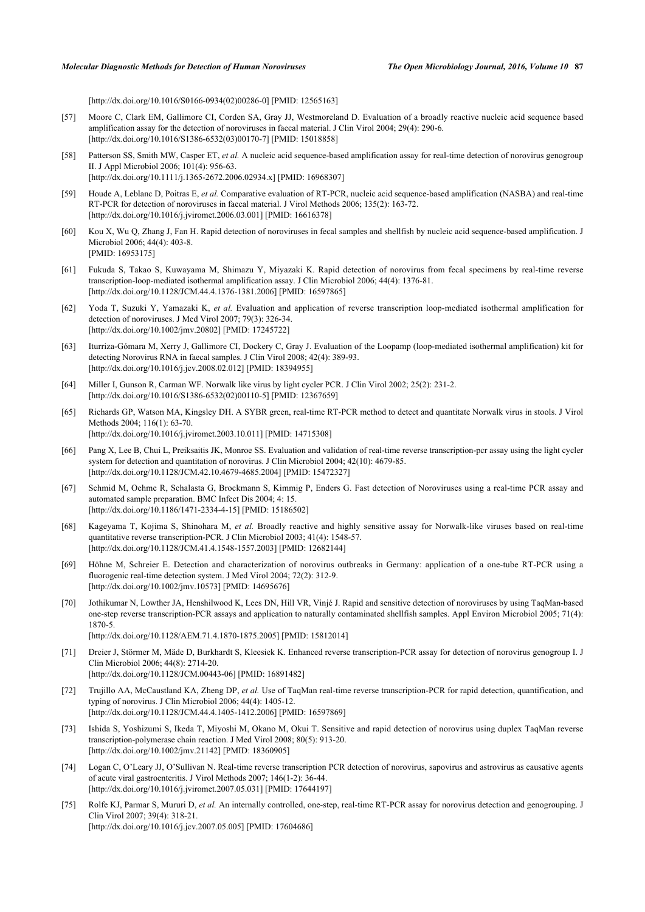[\[http://dx.doi.org/10.1016/S0166-0934\(02\)00286-0\]](http://dx.doi.org/10.1016/S0166-0934(02)00286-0) [PMID: [12565163](http://www.ncbi.nlm.nih.gov/pubmed/12565163)]

- [57] Moore C, Clark EM, Gallimore CI, Corden SA, Gray JJ, Westmoreland D. Evaluation of a broadly reactive nucleic acid sequence based amplification assay for the detection of noroviruses in faecal material. J Clin Virol 2004; 29(4): 290-6. [\[http://dx.doi.org/10.1016/S1386-6532\(03\)00170-7\]](http://dx.doi.org/10.1016/S1386-6532(03)00170-7) [PMID: [15018858](http://www.ncbi.nlm.nih.gov/pubmed/15018858)]
- [58] Patterson SS, Smith MW, Casper ET, *et al.* A nucleic acid sequence-based amplification assay for real-time detection of norovirus genogroup II. J Appl Microbiol 2006; 101(4): 956-63. [\[http://dx.doi.org/10.1111/j.1365-2672.2006.02934.x\]](http://dx.doi.org/10.1111/j.1365-2672.2006.02934.x) [PMID: [16968307](http://www.ncbi.nlm.nih.gov/pubmed/16968307)]
- <span id="page-9-3"></span>[59] Houde A, Leblanc D, Poitras E, *et al.* Comparative evaluation of RT-PCR, nucleic acid sequence-based amplification (NASBA) and real-time RT-PCR for detection of noroviruses in faecal material. J Virol Methods 2006; 135(2): 163-72. [\[http://dx.doi.org/10.1016/j.jviromet.2006.03.001](http://dx.doi.org/10.1016/j.jviromet.2006.03.001)] [PMID: [16616378\]](http://www.ncbi.nlm.nih.gov/pubmed/16616378)
- <span id="page-9-0"></span>[60] Kou X, Wu Q, Zhang J, Fan H. Rapid detection of noroviruses in fecal samples and shellfish by nucleic acid sequence-based amplification. J Microbiol 2006; 44(4): 403-8. [PMID: [16953175\]](http://www.ncbi.nlm.nih.gov/pubmed/16953175)
- <span id="page-9-1"></span>[61] Fukuda S, Takao S, Kuwayama M, Shimazu Y, Miyazaki K. Rapid detection of norovirus from fecal specimens by real-time reverse transcription-loop-mediated isothermal amplification assay. J Clin Microbiol 2006; 44(4): 1376-81. [\[http://dx.doi.org/10.1128/JCM.44.4.1376-1381.2006](http://dx.doi.org/10.1128/JCM.44.4.1376-1381.2006)] [PMID: [16597865\]](http://www.ncbi.nlm.nih.gov/pubmed/16597865)
- [62] Yoda T, Suzuki Y, Yamazaki K, *et al.* Evaluation and application of reverse transcription loop-mediated isothermal amplification for detection of noroviruses. J Med Virol 2007; 79(3): 326-34. [\[http://dx.doi.org/10.1002/jmv.20802](http://dx.doi.org/10.1002/jmv.20802)] [PMID: [17245722\]](http://www.ncbi.nlm.nih.gov/pubmed/17245722)
- <span id="page-9-2"></span>[63] Iturriza-Gómara M, Xerry J, Gallimore CI, Dockery C, Gray J. Evaluation of the Loopamp (loop-mediated isothermal amplification) kit for detecting Norovirus RNA in faecal samples. J Clin Virol 2008; 42(4): 389-93. [\[http://dx.doi.org/10.1016/j.jcv.2008.02.012\]](http://dx.doi.org/10.1016/j.jcv.2008.02.012) [PMID: [18394955](http://www.ncbi.nlm.nih.gov/pubmed/18394955)]
- <span id="page-9-4"></span>[64] Miller I, Gunson R, Carman WF. Norwalk like virus by light cycler PCR. J Clin Virol 2002; 25(2): 231-2. [\[http://dx.doi.org/10.1016/S1386-6532\(02\)00110-5\]](http://dx.doi.org/10.1016/S1386-6532(02)00110-5) [PMID: [12367659](http://www.ncbi.nlm.nih.gov/pubmed/12367659)]
- [65] Richards GP, Watson MA, Kingsley DH. A SYBR green, real-time RT-PCR method to detect and quantitate Norwalk virus in stools. J Virol Methods 2004; 116(1): 63-70. [\[http://dx.doi.org/10.1016/j.jviromet.2003.10.011](http://dx.doi.org/10.1016/j.jviromet.2003.10.011)] [PMID: [14715308\]](http://www.ncbi.nlm.nih.gov/pubmed/14715308)
- [66] Pang X, Lee B, Chui L, Preiksaitis JK, Monroe SS. Evaluation and validation of real-time reverse transcription-pcr assay using the light cycler system for detection and quantitation of norovirus. J Clin Microbiol 2004; 42(10): 4679-85. [\[http://dx.doi.org/10.1128/JCM.42.10.4679-4685.2004](http://dx.doi.org/10.1128/JCM.42.10.4679-4685.2004)] [PMID: [15472327\]](http://www.ncbi.nlm.nih.gov/pubmed/15472327)
- <span id="page-9-5"></span>[67] Schmid M, Oehme R, Schalasta G, Brockmann S, Kimmig P, Enders G. Fast detection of Noroviruses using a real-time PCR assay and automated sample preparation. BMC Infect Dis 2004; 4: 15. [\[http://dx.doi.org/10.1186/1471-2334-4-15\]](http://dx.doi.org/10.1186/1471-2334-4-15) [PMID: [15186502](http://www.ncbi.nlm.nih.gov/pubmed/15186502)]
- <span id="page-9-6"></span>[68] Kageyama T, Kojima S, Shinohara M, *et al.* Broadly reactive and highly sensitive assay for Norwalk-like viruses based on real-time quantitative reverse transcription-PCR. J Clin Microbiol 2003; 41(4): 1548-57. [\[http://dx.doi.org/10.1128/JCM.41.4.1548-1557.2003](http://dx.doi.org/10.1128/JCM.41.4.1548-1557.2003)] [PMID: [12682144\]](http://www.ncbi.nlm.nih.gov/pubmed/12682144)
- <span id="page-9-7"></span>[69] Höhne M, Schreier E. Detection and characterization of norovirus outbreaks in Germany: application of a one-tube RT-PCR using a fluorogenic real-time detection system. J Med Virol 2004; 72(2): 312-9. [\[http://dx.doi.org/10.1002/jmv.10573](http://dx.doi.org/10.1002/jmv.10573)] [PMID: [14695676\]](http://www.ncbi.nlm.nih.gov/pubmed/14695676)
- <span id="page-9-8"></span>[70] Jothikumar N, Lowther JA, Henshilwood K, Lees DN, Hill VR, Vinjé J. Rapid and sensitive detection of noroviruses by using TaqMan-based one-step reverse transcription-PCR assays and application to naturally contaminated shellfish samples. Appl Environ Microbiol 2005; 71(4): 1870-5.

[\[http://dx.doi.org/10.1128/AEM.71.4.1870-1875.2005](http://dx.doi.org/10.1128/AEM.71.4.1870-1875.2005)] [PMID: [15812014\]](http://www.ncbi.nlm.nih.gov/pubmed/15812014)

- [71] Dreier J, Störmer M, Mäde D, Burkhardt S, Kleesiek K. Enhanced reverse transcription-PCR assay for detection of norovirus genogroup I. J Clin Microbiol 2006; 44(8): 2714-20. [\[http://dx.doi.org/10.1128/JCM.00443-06](http://dx.doi.org/10.1128/JCM.00443-06)] [PMID: [16891482\]](http://www.ncbi.nlm.nih.gov/pubmed/16891482)
- [72] Trujillo AA, McCaustland KA, Zheng DP, *et al.* Use of TaqMan real-time reverse transcription-PCR for rapid detection, quantification, and typing of norovirus. J Clin Microbiol 2006; 44(4): 1405-12. [\[http://dx.doi.org/10.1128/JCM.44.4.1405-1412.2006](http://dx.doi.org/10.1128/JCM.44.4.1405-1412.2006)] [PMID: [16597869\]](http://www.ncbi.nlm.nih.gov/pubmed/16597869)
- [73] Ishida S, Yoshizumi S, Ikeda T, Miyoshi M, Okano M, Okui T. Sensitive and rapid detection of norovirus using duplex TaqMan reverse transcription-polymerase chain reaction. J Med Virol 2008; 80(5): 913-20. [\[http://dx.doi.org/10.1002/jmv.21142](http://dx.doi.org/10.1002/jmv.21142)] [PMID: [18360905\]](http://www.ncbi.nlm.nih.gov/pubmed/18360905)
- [74] Logan C, O'Leary JJ, O'Sullivan N. Real-time reverse transcription PCR detection of norovirus, sapovirus and astrovirus as causative agents of acute viral gastroenteritis. J Virol Methods 2007; 146(1-2): 36-44. [\[http://dx.doi.org/10.1016/j.jviromet.2007.05.031](http://dx.doi.org/10.1016/j.jviromet.2007.05.031)] [PMID: [17644197\]](http://www.ncbi.nlm.nih.gov/pubmed/17644197)
- <span id="page-9-9"></span>[75] Rolfe KJ, Parmar S, Mururi D, *et al.* An internally controlled, one-step, real-time RT-PCR assay for norovirus detection and genogrouping. J Clin Virol 2007; 39(4): 318-21. [\[http://dx.doi.org/10.1016/j.jcv.2007.05.005\]](http://dx.doi.org/10.1016/j.jcv.2007.05.005) [PMID: [17604686](http://www.ncbi.nlm.nih.gov/pubmed/17604686)]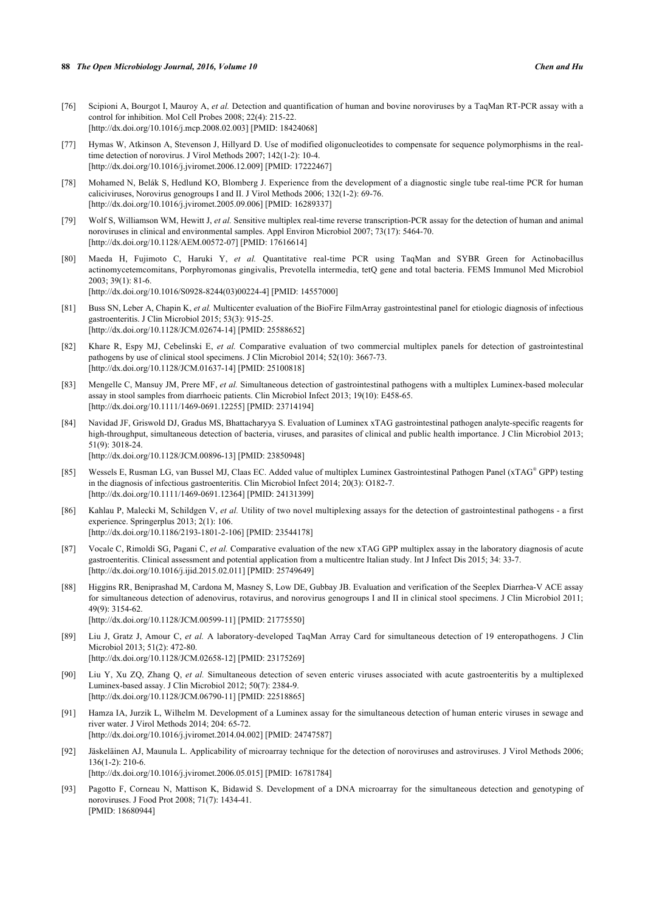- [76] Scipioni A, Bourgot I, Mauroy A, *et al.* Detection and quantification of human and bovine noroviruses by a TaqMan RT-PCR assay with a control for inhibition. Mol Cell Probes 2008; 22(4): 215-22. [\[http://dx.doi.org/10.1016/j.mcp.2008.02.003\]](http://dx.doi.org/10.1016/j.mcp.2008.02.003) [PMID: [18424068](http://www.ncbi.nlm.nih.gov/pubmed/18424068)]
- [77] Hymas W, Atkinson A, Stevenson J, Hillyard D. Use of modified oligonucleotides to compensate for sequence polymorphisms in the realtime detection of norovirus. J Virol Methods 2007; 142(1-2): 10-4. [\[http://dx.doi.org/10.1016/j.jviromet.2006.12.009](http://dx.doi.org/10.1016/j.jviromet.2006.12.009)] [PMID: [17222467\]](http://www.ncbi.nlm.nih.gov/pubmed/17222467)
- [78] Mohamed N, Belák S, Hedlund KO, Blomberg J. Experience from the development of a diagnostic single tube real-time PCR for human caliciviruses, Norovirus genogroups I and II. J Virol Methods 2006; 132(1-2): 69-76. [\[http://dx.doi.org/10.1016/j.jviromet.2005.09.006](http://dx.doi.org/10.1016/j.jviromet.2005.09.006)] [PMID: [16289337\]](http://www.ncbi.nlm.nih.gov/pubmed/16289337)
- <span id="page-10-0"></span>[79] Wolf S, Williamson WM, Hewitt J, *et al.* Sensitive multiplex real-time reverse transcription-PCR assay for the detection of human and animal noroviruses in clinical and environmental samples. Appl Environ Microbiol 2007; 73(17): 5464-70. [\[http://dx.doi.org/10.1128/AEM.00572-07](http://dx.doi.org/10.1128/AEM.00572-07)] [PMID: [17616614\]](http://www.ncbi.nlm.nih.gov/pubmed/17616614)
- <span id="page-10-1"></span>[80] Maeda H, Fujimoto C, Haruki Y, *et al.* Quantitative real-time PCR using TaqMan and SYBR Green for Actinobacillus actinomycetemcomitans, Porphyromonas gingivalis, Prevotella intermedia, tetQ gene and total bacteria. FEMS Immunol Med Microbiol 2003; 39(1): 81-6. [\[http://dx.doi.org/10.1016/S0928-8244\(03\)00224-4\]](http://dx.doi.org/10.1016/S0928-8244(03)00224-4) [PMID: [14557000](http://www.ncbi.nlm.nih.gov/pubmed/14557000)]
- <span id="page-10-2"></span>[81] Buss SN, Leber A, Chapin K, *et al.* Multicenter evaluation of the BioFire FilmArray gastrointestinal panel for etiologic diagnosis of infectious gastroenteritis. J Clin Microbiol 2015; 53(3): 915-25. [\[http://dx.doi.org/10.1128/JCM.02674-14](http://dx.doi.org/10.1128/JCM.02674-14)] [PMID: [25588652\]](http://www.ncbi.nlm.nih.gov/pubmed/25588652)
- <span id="page-10-3"></span>[82] Khare R, Espy MJ, Cebelinski E, *et al.* Comparative evaluation of two commercial multiplex panels for detection of gastrointestinal pathogens by use of clinical stool specimens. J Clin Microbiol 2014; 52(10): 3667-73. [\[http://dx.doi.org/10.1128/JCM.01637-14](http://dx.doi.org/10.1128/JCM.01637-14)] [PMID: [25100818\]](http://www.ncbi.nlm.nih.gov/pubmed/25100818)
- <span id="page-10-4"></span>[83] Mengelle C, Mansuy JM, Prere MF, *et al.* Simultaneous detection of gastrointestinal pathogens with a multiplex Luminex-based molecular assay in stool samples from diarrhoeic patients. Clin Microbiol Infect 2013; 19(10): E458-65. [\[http://dx.doi.org/10.1111/1469-0691.12255](http://dx.doi.org/10.1111/1469-0691.12255)] [PMID: [23714194](http://www.ncbi.nlm.nih.gov/pubmed/23714194)]
- [84] Navidad JF, Griswold DJ, Gradus MS, Bhattacharyya S. Evaluation of Luminex xTAG gastrointestinal pathogen analyte-specific reagents for high-throughput, simultaneous detection of bacteria, viruses, and parasites of clinical and public health importance. J Clin Microbiol 2013; 51(9): 3018-24.

[\[http://dx.doi.org/10.1128/JCM.00896-13](http://dx.doi.org/10.1128/JCM.00896-13)] [PMID: [23850948\]](http://www.ncbi.nlm.nih.gov/pubmed/23850948)

- [85] Wessels E, Rusman LG, van Bussel MJ, Claas EC. Added value of multiplex Luminex Gastrointestinal Pathogen Panel (xTAG® GPP) testing in the diagnosis of infectious gastroenteritis. Clin Microbiol Infect 2014; 20(3): O182-7. [\[http://dx.doi.org/10.1111/1469-0691.12364](http://dx.doi.org/10.1111/1469-0691.12364)] [PMID: [24131399](http://www.ncbi.nlm.nih.gov/pubmed/24131399)]
- [86] Kahlau P, Malecki M, Schildgen V, *et al.* Utility of two novel multiplexing assays for the detection of gastrointestinal pathogens a first experience. Springerplus 2013; 2(1): 106. [\[http://dx.doi.org/10.1186/2193-1801-2-106\]](http://dx.doi.org/10.1186/2193-1801-2-106) [PMID: [23544178](http://www.ncbi.nlm.nih.gov/pubmed/23544178)]
- <span id="page-10-5"></span>[87] Vocale C, Rimoldi SG, Pagani C, *et al.* Comparative evaluation of the new xTAG GPP multiplex assay in the laboratory diagnosis of acute gastroenteritis. Clinical assessment and potential application from a multicentre Italian study. Int J Infect Dis 2015; 34: 33-7. [\[http://dx.doi.org/10.1016/j.ijid.2015.02.011\]](http://dx.doi.org/10.1016/j.ijid.2015.02.011) [PMID: [25749649](http://www.ncbi.nlm.nih.gov/pubmed/25749649)]
- <span id="page-10-6"></span>[88] Higgins RR, Beniprashad M, Cardona M, Masney S, Low DE, Gubbay JB. Evaluation and verification of the Seeplex Diarrhea-V ACE assay for simultaneous detection of adenovirus, rotavirus, and norovirus genogroups I and II in clinical stool specimens. J Clin Microbiol 2011; 49(9): 3154-62. [\[http://dx.doi.org/10.1128/JCM.00599-11](http://dx.doi.org/10.1128/JCM.00599-11)] [PMID: [21775550\]](http://www.ncbi.nlm.nih.gov/pubmed/21775550)
- <span id="page-10-7"></span>[89] Liu J, Gratz J, Amour C, *et al.* A laboratory-developed TaqMan Array Card for simultaneous detection of 19 enteropathogens. J Clin Microbiol 2013; 51(2): 472-80. [\[http://dx.doi.org/10.1128/JCM.02658-12](http://dx.doi.org/10.1128/JCM.02658-12)] [PMID: [23175269\]](http://www.ncbi.nlm.nih.gov/pubmed/23175269)
- <span id="page-10-8"></span>[90] Liu Y, Xu ZQ, Zhang Q, *et al.* Simultaneous detection of seven enteric viruses associated with acute gastroenteritis by a multiplexed Luminex-based assay. J Clin Microbiol 2012; 50(7): 2384-9. [\[http://dx.doi.org/10.1128/JCM.06790-11](http://dx.doi.org/10.1128/JCM.06790-11)] [PMID: [22518865\]](http://www.ncbi.nlm.nih.gov/pubmed/22518865)
- <span id="page-10-9"></span>[91] Hamza IA, Jurzik L, Wilhelm M. Development of a Luminex assay for the simultaneous detection of human enteric viruses in sewage and river water. J Virol Methods 2014; 204: 65-72. [\[http://dx.doi.org/10.1016/j.jviromet.2014.04.002](http://dx.doi.org/10.1016/j.jviromet.2014.04.002)] [PMID: [24747587\]](http://www.ncbi.nlm.nih.gov/pubmed/24747587)
- <span id="page-10-10"></span>[92] Jäskeläinen AJ, Maunula L. Applicability of microarray technique for the detection of noroviruses and astroviruses. J Virol Methods 2006; 136(1-2): 210-6. [\[http://dx.doi.org/10.1016/j.jviromet.2006.05.015](http://dx.doi.org/10.1016/j.jviromet.2006.05.015)] [PMID: [16781784\]](http://www.ncbi.nlm.nih.gov/pubmed/16781784)
- [93] Pagotto F, Corneau N, Mattison K, Bidawid S. Development of a DNA microarray for the simultaneous detection and genotyping of noroviruses. J Food Prot 2008; 71(7): 1434-41. [PMID: [18680944\]](http://www.ncbi.nlm.nih.gov/pubmed/18680944)